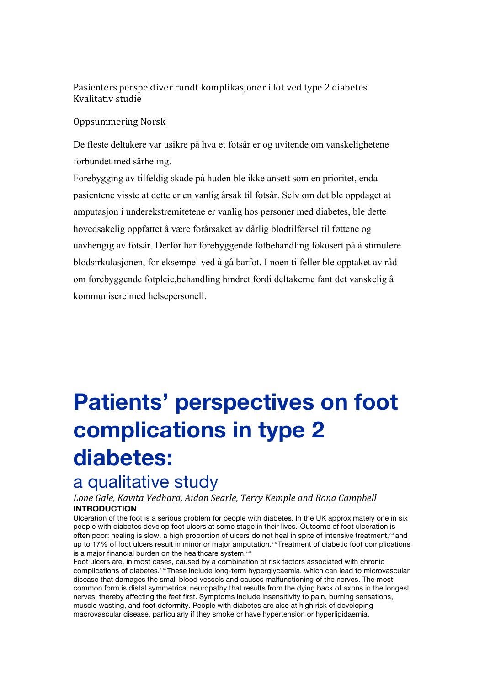Pasienters perspektiver rundt komplikasjoner i fot ved type 2 diabetes Kvalitativ studie

# Oppsummering Norsk

De fleste deltakere var usikre på hva et fotsår er og uvitende om vanskelighetene forbundet med sårheling.

Forebygging av tilfeldig skade på huden ble ikke ansett som en prioritet, enda pasientene visste at dette er en vanlig årsak til fotsår. Selv om det ble oppdaget at amputasjon i underekstremitetene er vanlig hos personer med diabetes, ble dette hovedsakelig oppfattet å være forårsaket av dårlig blodtilførsel til føttene og uavhengig av fotsår. Derfor har forebyggende fotbehandling fokusert på å stimulere blodsirkulasjonen, for eksempel ved å gå barfot. I noen tilfeller ble opptaket av råd om forebyggende fotpleie,behandling hindret fordi deltakerne fant det vanskelig å kommunisere med helsepersonell.

# **Patients' perspectives on foot complications in type 2 diabetes:**

# a qualitative study

Lone Gale, Kavita Vedhara, Aidan Searle, Terry Kemple and Rona Campbell **INTRODUCTION** 

Ulceration of the foot is a serious problem for people with diabetes. In the UK approximately one in six people with diabetes develop foot ulcers at some stage in their lives.1 Outcome of foot ulceration is often poor: healing is slow, a high proportion of ulcers do not heal in spite of intensive treatment,<sup>2-4</sup> and up to 17% of foot ulcers result in minor or major amputation.<sup>3-6</sup> Treatment of diabetic foot complications is a major financial burden on the healthcare system. $7-8$ 

Foot ulcers are, in most cases, caused by a combination of risk factors associated with chronic complications of diabetes.9,10 These include long-term hyperglycaemia, which can lead to microvascular disease that damages the small blood vessels and causes malfunctioning of the nerves. The most common form is distal symmetrical neuropathy that results from the dying back of axons in the longest nerves, thereby affecting the feet first. Symptoms include insensitivity to pain, burning sensations, muscle wasting, and foot deformity. People with diabetes are also at high risk of developing macrovascular disease, particularly if they smoke or have hypertension or hyperlipidaemia.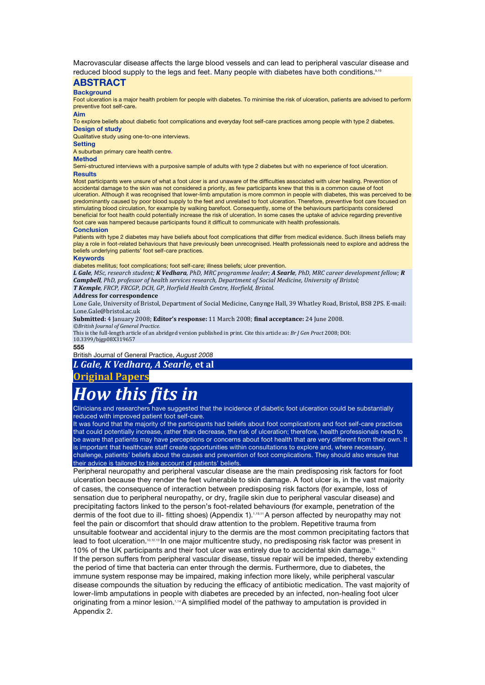Macrovascular disease affects the large blood vessels and can lead to peripheral vascular disease and reduced blood supply to the legs and feet. Many people with diabetes have both conditions.<sup>9,10</sup>

# **ABSTRACT**

#### **Background**

Foot ulceration is a major health problem for people with diabetes. To minimise the risk of ulceration, patients are advised to perform preventive foot self-care.

#### **Aim**

To explore beliefs about diabetic foot complications and everyday foot self-care practices among people with type 2 diabetes. **Design of study** 

Qualitative study using one-to-one interviews.

**Setting** 

A suburban primary care health centre**.** 

#### **Method**

Semi-structured interviews with a purposive sample of adults with type 2 diabetes but with no experience of foot ulceration. **Results** 

Most participants were unsure of what a foot ulcer is and unaware of the difficulties associated with ulcer healing. Prevention of accidental damage to the skin was not considered a priority, as few participants knew that this is a common cause of foot ulceration. Although it was recognised that lower-limb amputation is more common in people with diabetes, this was perceived to be predominantly caused by poor blood supply to the feet and unrelated to foot ulceration. Therefore, preventive foot care focused on stimulating blood circulation, for example by walking barefoot. Consequently, some of the behaviours participants considered beneficial for foot health could potentially increase the risk of ulceration. In some cases the uptake of advice regarding preventive foot care was hampered because participants found it difficult to communicate with health professionals.

#### **Conclusion**

Patients with type 2 diabetes may have beliefs about foot complications that differ from medical evidence. Such illness beliefs may play a role in foot-related behaviours that have previously been unrecognised. Health professionals need to explore and address the beliefs underlying patients' foot self-care practices.

#### **Keywords**

diabetes mellitus; foot complications; foot self-care; illness beliefs; ulcer prevention.

*L* Gale, MSc, research student; *K* Vedhara, PhD, MRC programme leader; *A Searle*, PhD, MRC career development fellow; *R* **Campbell**, PhD, professor of health services research, Department of Social Medicine, University of Bristol; *T Kemple, FRCP, FRCGP, DCH, GP, Horfield Health Centre, Horfield, Bristol.* 

**Address for correspondence** 

Lone Gale, University of Bristol, Department of Social Medicine, Canynge Hall, 39 Whatley Road, Bristol, BS8 2PS. E-mail: Lone.Gale@bristol.ac.uk 

Submitted: 4 January 2008; Editor's response: 11 March 2008; final acceptance: 24 June 2008. *©British Journal of General Practice.* 

This is the full-length article of an abridged version published in print. Cite this article as: *Br J Gen Pract* 2008; DOI: 10.3399/bjgp08X319657 

#### **555**

British Journal of General Practice, *August 2008* 

*L* Gale, *K* Vedhara, *A* Searle, et al

# **Original Papers**

# How this fits in

Clinicians and researchers have suggested that the incidence of diabetic foot ulceration could be substantially reduced with improved patient foot self-care.

It was found that the majority of the participants had beliefs about foot complications and foot self-care practices that could potentially increase, rather than decrease, the risk of ulceration; therefore, health professionals need to be aware that patients may have perceptions or concerns about foot health that are very different from their own. It is important that healthcare staff create opportunities within consultations to explore and, where necessary, challenge, patients' beliefs about the causes and prevention of foot complications. They should also ensure that their advice is tailored to take account of patients' beliefs.

Peripheral neuropathy and peripheral vascular disease are the main predisposing risk factors for foot ulceration because they render the feet vulnerable to skin damage. A foot ulcer is, in the vast majority of cases, the consequence of interaction between predisposing risk factors (for example, loss of sensation due to peripheral neuropathy, or dry, fragile skin due to peripheral vascular disease) and precipitating factors linked to the person's foot-related behaviours (for example, penetration of the dermis of the foot due to ill- fitting shoes) (Appendix 1).1,10,11 A person affected by neuropathy may not feel the pain or discomfort that should draw attention to the problem. Repetitive trauma from unsuitable footwear and accidental injury to the dermis are the most common precipitating factors that lead to foot ulceration.10,12,13 In one major multicentre study, no predisposing risk factor was present in 10% of the UK participants and their foot ulcer was entirely due to accidental skin damage.<sup>13</sup> If the person suffers from peripheral vascular disease, tissue repair will be impeded, thereby extending the period of time that bacteria can enter through the dermis. Furthermore, due to diabetes, the immune system response may be impaired, making infection more likely, while peripheral vascular disease compounds the situation by reducing the efficacy of antibiotic medication. The vast majority of lower-limb amputations in people with diabetes are preceded by an infected, non-healing foot ulcer originating from a minor lesion.1,14 A simplified model of the pathway to amputation is provided in Appendix 2.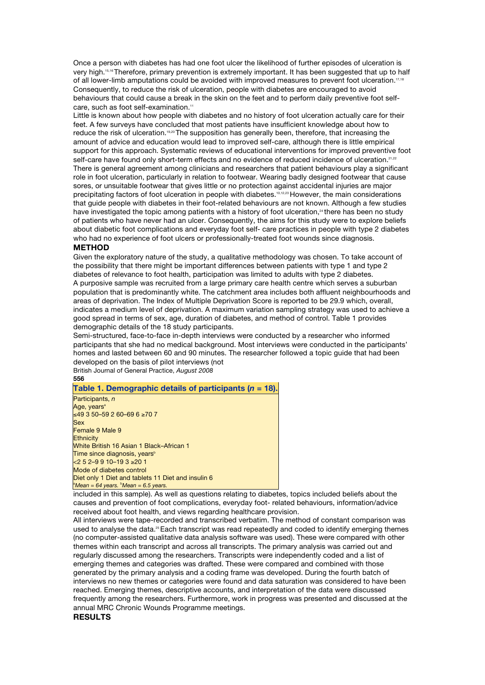Once a person with diabetes has had one foot ulcer the likelihood of further episodes of ulceration is very high.<sup>15,16</sup> Therefore, primary prevention is extremely important. It has been suggested that up to half of all lower-limb amputations could be avoided with improved measures to prevent foot ulceration.<sup>17,18</sup> Consequently, to reduce the risk of ulceration, people with diabetes are encouraged to avoid behaviours that could cause a break in the skin on the feet and to perform daily preventive foot selfcare, such as foot self-examination.<sup>11</sup>

Little is known about how people with diabetes and no history of foot ulceration actually care for their feet. A few surveys have concluded that most patients have insufficient knowledge about how to reduce the risk of ulceration.<sup>19,20</sup> The supposition has generally been, therefore, that increasing the amount of advice and education would lead to improved self-care, although there is little empirical support for this approach. Systematic reviews of educational interventions for improved preventive foot self-care have found only short-term effects and no evidence of reduced incidence of ulceration.<sup>21,22</sup> There is general agreement among clinicians and researchers that patient behaviours play a significant role in foot ulceration, particularly in relation to footwear. Wearing badly designed footwear that cause sores, or unsuitable footwear that gives little or no protection against accidental injuries are major precipitating factors of foot ulceration in people with diabetes.10,12,23 However, the main considerations that guide people with diabetes in their foot-related behaviours are not known. Although a few studies have investigated the topic among patients with a history of foot ulceration,<sup>24</sup> there has been no study of patients who have never had an ulcer. Consequently, the aims for this study were to explore beliefs about diabetic foot complications and everyday foot self- care practices in people with type 2 diabetes who had no experience of foot ulcers or professionally-treated foot wounds since diagnosis.

### **METHOD**

Given the exploratory nature of the study, a qualitative methodology was chosen. To take account of the possibility that there might be important differences between patients with type 1 and type 2 diabetes of relevance to foot health, participation was limited to adults with type 2 diabetes. A purposive sample was recruited from a large primary care health centre which serves a suburban population that is predominantly white. The catchment area includes both affluent neighbourhoods and areas of deprivation. The Index of Multiple Deprivation Score is reported to be 29.9 which, overall, indicates a medium level of deprivation. A maximum variation sampling strategy was used to achieve a good spread in terms of sex, age, duration of diabetes, and method of control. Table 1 provides demographic details of the 18 study participants.

Semi-structured, face-to-face in-depth interviews were conducted by a researcher who informed participants that she had no medical background. Most interviews were conducted in the participants' homes and lasted between 60 and 90 minutes. The researcher followed a topic guide that had been developed on the basis of pilot interviews (not

British Journal of General Practice, *August 2008*  **556** 

**Table 1. Demographic details of participants (***n* **= 18).**  Participants, *n*  Age, years<sup>a</sup>  $\leq$ 49 3 50–59 2 60–69 6 ≥70 7 **Sex** Female 9 Male 9 **Ethnicity** White British 16 Asian 1 Black–African 1 Time since diagnosis, years<sup>b</sup> <2 5 2–9 9 10–19 3 ≥20 1 Mode of diabetes control Diet only 1 Diet and tablets 11 Diet and insulin 6 a *Mean = 64 years.* <sup>b</sup> *Mean = 6.5 years.* 

included in this sample). As well as questions relating to diabetes, topics included beliefs about the causes and prevention of foot complications, everyday foot- related behaviours, information/advice received about foot health, and views regarding healthcare provision.

All interviews were tape-recorded and transcribed verbatim. The method of constant comparison was used to analyse the data.<sup>25</sup> Each transcript was read repeatedly and coded to identify emerging themes (no computer-assisted qualitative data analysis software was used). These were compared with other themes within each transcript and across all transcripts. The primary analysis was carried out and regularly discussed among the researchers. Transcripts were independently coded and a list of emerging themes and categories was drafted. These were compared and combined with those generated by the primary analysis and a coding frame was developed. During the fourth batch of interviews no new themes or categories were found and data saturation was considered to have been reached. Emerging themes, descriptive accounts, and interpretation of the data were discussed frequently among the researchers. Furthermore, work in progress was presented and discussed at the annual MRC Chronic Wounds Programme meetings.

**RESULTS**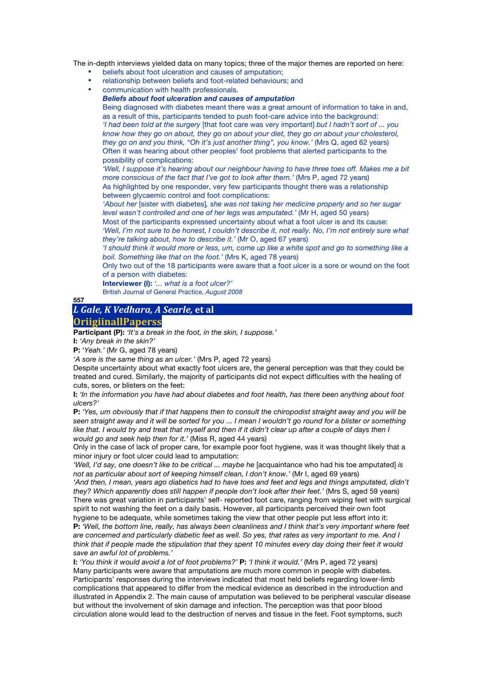The in-depth interviews yielded data on many topics; three of the major themes are reported on here:

- beliefs about foot ulceration and causes of amputation:
- relationship between beliefs and foot-related behaviours; and
- communication with health professionals.

## *Beliefs about foot ulceration and causes of amputation* Being diagnosed with diabetes meant there was a great amount of information to take in and, as a result of this, participants tended to push foot-care advice into the background: *'I had been told at the surgery* [that foot care was very important] *but I hadn't sort of ... you know how they go on about, they go on about your diet, they go on about your cholesterol, they go on and you think, "Oh it's just another thing", you know.'* (Mrs Q, aged 62 years) Often it was hearing about other peoples' foot problems that alerted participants to the possibility of complications:

*'Well, I suppose it's hearing about our neighbour having to have three toes off. Makes me a bit more conscious of the fact that I've got to look after them.'* (Mrs P, aged 72 years) As highlighted by one responder, very few participants thought there was a relationship between glycaemic control and foot complications:

*'About her* [sister with diabetes]*, she was not taking her medicine properly and so her sugar level wasn't controlled and one of her legs was amputated.'* (Mr H, aged 50 years)

Most of the participants expressed uncertainty about what a foot ulcer is and its cause: *'Well, I'm not sure to be honest, I couldn't describe it, not really. No, I'm not entirely sure what they're talking about, how to describe it.'* (Mr O, aged 67 years)

*'I should think it would more or less, um, come up like a white spot and go to something like a boil. Something like that on the foot.'* (Mrs K, aged 78 years)

Only two out of the 18 participants were aware that a foot ulcer is a sore or wound on the foot of a person with diabetes:

**Interviewer (I):** *'... what is a foot ulcer?'*

British Journal of General Practice, *August 2008* 

#### **557**

# *L* Gale, *K* Vedhara, *A* Searle, et al.

# **OriigiinallPaperss**

**Participant (P):** *'It's a break in the foot, in the skin, I suppose.'*

**I:** *'Any break in the skin?'*

**P:** '*Yeah.'* (Mr G, aged 78 years)

*'A sore is the same thing as an ulcer.'* (Mrs P, aged 72 years)

Despite uncertainty about what exactly foot ulcers are, the general perception was that they could be treated and cured. Similarly, the majority of participants did not expect difficulties with the healing of cuts, sores, or blisters on the feet:

**I:** *'In the information you have had about diabetes and foot health, has there been anything about foot ulcers?'*

**P:** *'Yes, um obviously that if that happens then to consult the chiropodist straight away and you will be seen straight away and it will be sorted for you ... I mean I wouldn't go round for a blister or something like that. I would try and treat that myself and then if it didn't clear up after a couple of days then I would go and seek help then for it.'* (Miss R, aged 44 years)

Only in the case of lack of proper care, for example poor foot hygiene, was it was thought likely that a minor injury or foot ulcer could lead to amputation:

*'Well, I'd say, one doesn't like to be critical ... maybe he* [acquaintance who had his toe amputated] *is not as particular about sort of keeping himself clean, I don't know.'* (Mr I, aged 69 years)

'And then, I mean, years ago diabetics had to have toes and feet and legs and things amputated, didn't *they? Which apparently does still happen if people don't look after their feet.'* (Mrs S, aged 59 years) There was great variation in participants' self- reported foot care, ranging from wiping feet with surgical spirit to not washing the feet on a daily basis. However, all participants perceived their own foot

hygiene to be adequate, while sometimes taking the view that other people put less effort into it: **P:** *'Well, the bottom line, really, has always been cleanliness and I think that's very important where feet are concerned and particularly diabetic feet as well. So yes, that rates as very important to me. And I think that if people made the stipulation that they spent 10 minutes every day doing their feet it would save an awful lot of problems.'* 

**I:** *'You think it would avoid a lot of foot problems?'* **P:** *'I think it would.'* (Mrs P, aged 72 years) Many participants were aware that amputations are much more common in people with diabetes. Participants' responses during the interviews indicated that most held beliefs regarding lower-limb complications that appeared to differ from the medical evidence as described in the introduction and illustrated in Appendix 2. The main cause of amputation was believed to be peripheral vascular disease but without the involvement of skin damage and infection. The perception was that poor blood circulation alone would lead to the destruction of nerves and tissue in the feet. Foot symptoms, such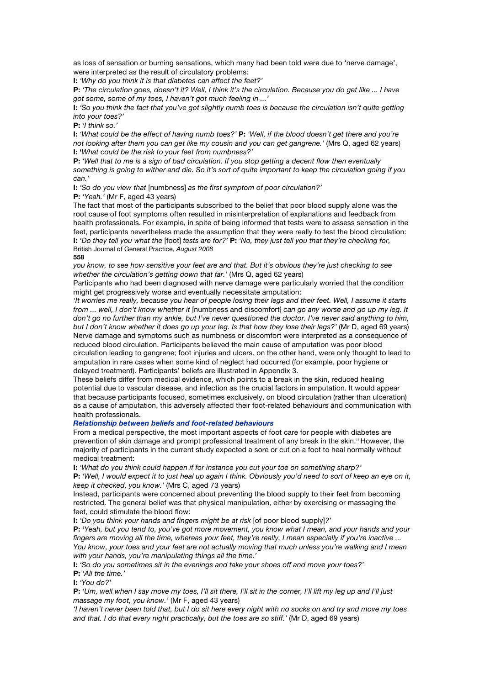as loss of sensation or burning sensations, which many had been told were due to 'nerve damage', were interpreted as the result of circulatory problems:

**I:** *'Why do you think it is that diabetes can affect the feet?'*

**P:** *'The circulation goes, doesn't it? Well, I think it's the circulation. Because you do get like ... I have got some, some of my toes, I haven't got much feeling in ...'* 

**I:** *'So you think the fact that you've got slightly numb toes is because the circulation isn't quite getting into your toes?'*

**P:** *'I think so.'* 

**I:** *'What could be the effect of having numb toes?'* **P:** *'Well, if the blood doesn't get there and you're not looking after them you can get like my cousin and you can get gangrene.'* (Mrs Q, aged 62 years) **I: '***What could be the risk to your feet from numbness?'*

**P:** *'Well that to me is a sign of bad circulation. If you stop getting a decent flow then eventually something is going to wither and die. So it's sort of quite important to keep the circulation going if you can.'* 

**I:** *'So do you view that* [numbness] *as the first symptom of poor circulation?'*

**P:** *'Yeah.'* (Mr F, aged 43 years)

The fact that most of the participants subscribed to the belief that poor blood supply alone was the root cause of foot symptoms often resulted in misinterpretation of explanations and feedback from health professionals. For example, in spite of being informed that tests were to assess sensation in the feet, participants nevertheless made the assumption that they were really to test the blood circulation: **I:** *'Do they tell you what the* [foot] *tests are for?'* **P:** *'No, they just tell you that they're checking for,*  British Journal of General Practice, *August 2008*  **558** 

*you know, to see how sensitive your feet are and that. But it's obvious they're just checking to see whether the circulation's getting down that far.'* (Mrs Q, aged 62 years)

Participants who had been diagnosed with nerve damage were particularly worried that the condition might get progressively worse and eventually necessitate amputation:

*'It worries me really, because you hear of people losing their legs and their feet. Well, I assume it starts from ... well, I don't know whether it* [numbness and discomfort] *can go any worse and go up my leg. It don't go no further than my ankle, but I've never questioned the doctor. I've never said anything to him, but I don't know whether it does go up your leg. Is that how they lose their legs?'* (Mr D, aged 69 years) Nerve damage and symptoms such as numbness or discomfort were interpreted as a consequence of reduced blood circulation. Participants believed the main cause of amputation was poor blood circulation leading to gangrene; foot injuries and ulcers, on the other hand, were only thought to lead to amputation in rare cases when some kind of neglect had occurred (for example, poor hygiene or delayed treatment). Participants' beliefs are illustrated in Appendix 3.

These beliefs differ from medical evidence, which points to a break in the skin, reduced healing potential due to vascular disease, and infection as the crucial factors in amputation. It would appear that because participants focused, sometimes exclusively, on blood circulation (rather than ulceration) as a cause of amputation, this adversely affected their foot-related behaviours and communication with health professionals.

# *Relationship between beliefs and foot-related behaviours*

From a medical perspective, the most important aspects of foot care for people with diabetes are prevention of skin damage and prompt professional treatment of any break in the skin.11 However, the majority of participants in the current study expected a sore or cut on a foot to heal normally without medical treatment:

**I:** *'What do you think could happen if for instance you cut your toe on something sharp?'*

**P:** *'Well, I would expect it to just heal up again I think. Obviously you'd need to sort of keep an eye on it, keep it checked, you know.'* (Mrs C, aged 73 years)

Instead, participants were concerned about preventing the blood supply to their feet from becoming restricted. The general belief was that physical manipulation, either by exercising or massaging the feet, could stimulate the blood flow:

**I:** *'Do you think your hands and fingers might be at risk* [of poor blood supply]*?'*

**P: '***Yeah, but you tend to, you've got more movement, you know what I mean, and your hands and your fingers are moving all the time, whereas your feet, they're really, I mean especially if you're inactive ... You know, your toes and your feet are not actually moving that much unless you're walking and I mean with your hands, you're manipulating things all the time.'* 

**I:** *'So do you sometimes sit in the evenings and take your shoes off and move your toes?'*

**P:** *'All the time.'*

**I:** *'You do?'* 

**P:** *'Um, well when I say move my toes, I'll sit there, I'll sit in the corner, I'll lift my leg up and I'll just massage my foot, you know.'* (Mr F, aged 43 years)

*'I haven't never been told that, but I do sit here every night with no socks on and try and move my toes and that. I do that every night practically, but the toes are so stiff.'* (Mr D, aged 69 years)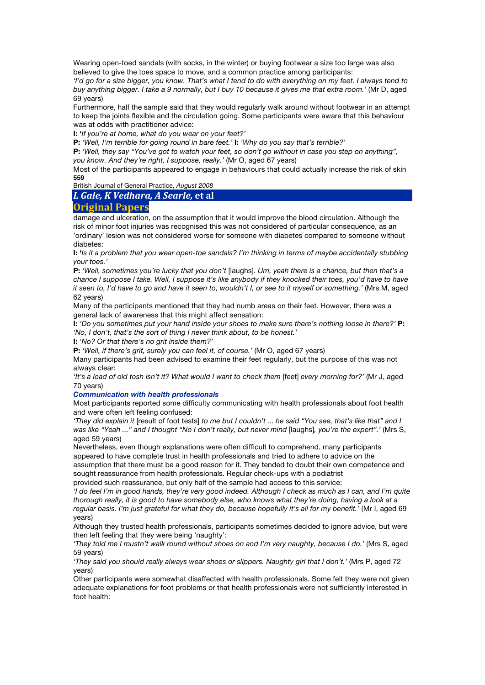Wearing open-toed sandals (with socks, in the winter) or buying footwear a size too large was also believed to give the toes space to move, and a common practice among participants:

*'I'd go for a size bigger, you know. That's what I tend to do with everything on my feet. I always tend to buy anything bigger. I take a 9 normally, but I buy 10 because it gives me that extra room.'* (Mr D, aged 69 years)

Furthermore, half the sample said that they would regularly walk around without footwear in an attempt to keep the joints flexible and the circulation going. Some participants were aware that this behaviour was at odds with practitioner advice:

**I: '***If you're at home, what do you wear on your feet?'*

**P:** *'Well, I'm terrible for going round in bare feet.'* **I:** *'Why do you say that's terrible?'* 

**P:** *'Well, they say "You've got to watch your feet, so don't go without in case you step on anything", you know. And they're right, I suppose, really.'* (Mr O, aged 67 years)

Most of the participants appeared to engage in behaviours that could actually increase the risk of skin **559** 

British Journal of General Practice, *August 2008* 

*L Gale, K Vedhara, A Searle,* **et al** 

# **Original Papers**

damage and ulceration, on the assumption that it would improve the blood circulation. Although the risk of minor foot injuries was recognised this was not considered of particular consequence, as an 'ordinary' lesion was not considered worse for someone with diabetes compared to someone without diabetes:

**I: '***Is it a problem that you wear open-toe sandals? I'm thinking in terms of maybe accidentally stubbing your toes.'*

**P:** *'Well, sometimes you're lucky that you don't* [laughs]*. Um, yeah there is a chance, but then that's a chance I suppose I take. Well, I suppose it's like anybody if they knocked their toes, you'd have to have it seen to, I'd have to go and have it seen to, wouldn't I, or see to it myself or something.'* (Mrs M, aged 62 years)

Many of the participants mentioned that they had numb areas on their feet. However, there was a general lack of awareness that this might affect sensation:

**I:** *'Do you sometimes put your hand inside your shoes to make sure there's nothing loose in there?'* **P:**  *'No, I don't, that's the sort of thing I never think about, to be honest.'* 

**I:** *'No? Or that there's no grit inside them?'*

**P:** *'Well, if there's grit, surely you can feel it, of course.'* (Mr O, aged 67 years)

Many participants had been advised to examine their feet regularly, but the purpose of this was not always clear:

'It's a load of old tosh isn't it? What would I want to check them [feet] *every morning for?'* (Mr J, aged 70 years)

*Communication with health professionals* 

Most participants reported some difficulty communicating with health professionals about foot health and were often left feeling confused:

'They did explain it [result of foot tests] to me but I couldn't ... he said "You see, that's like that" and I *was like "Yeah ..." and I thought "No I don't really, but never mind* [laughs]*, you're the expert".'* (Mrs S, aged 59 years)

Nevertheless, even though explanations were often difficult to comprehend, many participants appeared to have complete trust in health professionals and tried to adhere to advice on the

assumption that there must be a good reason for it. They tended to doubt their own competence and sought reassurance from health professionals. Regular check-ups with a podiatrist provided such reassurance, but only half of the sample had access to this service:

*'I do feel I'm in good hands, they're very good indeed. Although I check as much as I can, and I'm quite thorough really, it is good to have somebody else, who knows what they're doing, having a look at a regular basis. I'm just grateful for what they do, because hopefully it's all for my benefit.'* (Mr I, aged 69 years)

Although they trusted health professionals, participants sometimes decided to ignore advice, but were then left feeling that they were being 'naughty':

*'They told me I mustn't walk round without shoes on and I'm very naughty, because I do.'* (Mrs S, aged 59 years)

*'They said you should really always wear shoes or slippers. Naughty girl that I don't.'* (Mrs P, aged 72 years)

Other participants were somewhat disaffected with health professionals. Some felt they were not given adequate explanations for foot problems or that health professionals were not sufficiently interested in foot health: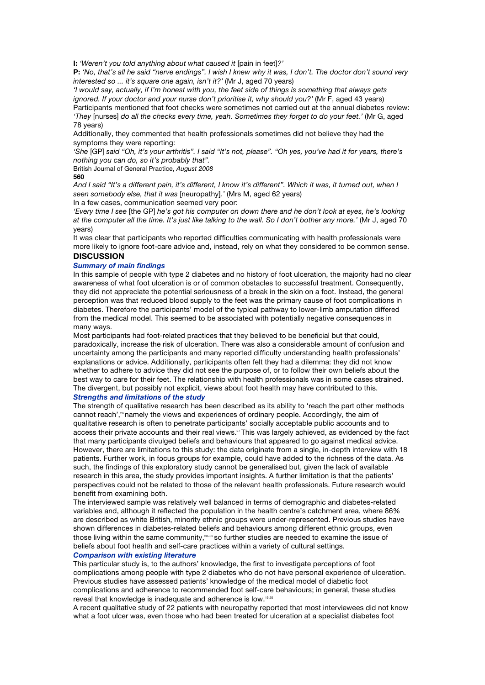**I:** *'Weren't you told anything about what caused it* [pain in feet]*?'*

**P:** *'No, that's all he said "nerve endings". I wish I knew why it was, I don't. The doctor don't sound very interested so ... it's square one again, isn't it?'* (Mr J, aged 70 years)

*'I would say, actually, if I'm honest with you, the feet side of things is something that always gets ignored. If your doctor and your nurse don't prioritise it, why should you?'* (Mr F, aged 43 years) Participants mentioned that foot checks were sometimes not carried out at the annual diabetes review: *'They* [nurses] *do all the checks every time, yeah. Sometimes they forget to do your feet.'* (Mr G, aged 78 years)

Additionally, they commented that health professionals sometimes did not believe they had the symptoms they were reporting:

*'She* [GP] *said "Oh, it's your arthritis". I said "It's not, please". "Oh yes, you've had it for years, there's nothing you can do, so it's probably that".* 

British Journal of General Practice, *August 2008* 

#### **560**

*And I said "It's a different pain, it's different, I know it's different". Which it was, it turned out, when I seen somebody else, that it was* [neuropathy]*.'* (Mrs M, aged 62 years)

In a few cases, communication seemed very poor:

*'Every time I see* [the GP] *he's got his computer on down there and he don't look at eyes, he's looking at the computer all the time. It's just like talking to the wall. So I don't bother any more.'* (Mr J, aged 70 years)

It was clear that participants who reported difficulties communicating with health professionals were more likely to ignore foot-care advice and, instead, rely on what they considered to be common sense. **DISCUSSION** 

#### *Summary of main findings*

In this sample of people with type 2 diabetes and no history of foot ulceration, the majority had no clear awareness of what foot ulceration is or of common obstacles to successful treatment. Consequently, they did not appreciate the potential seriousness of a break in the skin on a foot. Instead, the general perception was that reduced blood supply to the feet was the primary cause of foot complications in diabetes. Therefore the participants' model of the typical pathway to lower-limb amputation differed from the medical model. This seemed to be associated with potentially negative consequences in many ways.

Most participants had foot-related practices that they believed to be beneficial but that could, paradoxically, increase the risk of ulceration. There was also a considerable amount of confusion and uncertainty among the participants and many reported difficulty understanding health professionals' explanations or advice. Additionally, participants often felt they had a dilemma: they did not know whether to adhere to advice they did not see the purpose of, or to follow their own beliefs about the best way to care for their feet. The relationship with health professionals was in some cases strained. The divergent, but possibly not explicit, views about foot health may have contributed to this.

#### *Strengths and limitations of the study*

The strength of qualitative research has been described as its ability to 'reach the part other methods cannot reach',<sup>26</sup> namely the views and experiences of ordinary people. Accordingly, the aim of qualitative research is often to penetrate participants' socially acceptable public accounts and to access their private accounts and their real views.27 This was largely achieved, as evidenced by the fact that many participants divulged beliefs and behaviours that appeared to go against medical advice. However, there are limitations to this study: the data originate from a single, in-depth interview with 18 patients. Further work, in focus groups for example, could have added to the richness of the data. As such, the findings of this exploratory study cannot be generalised but, given the lack of available research in this area, the study provides important insights. A further limitation is that the patients' perspectives could not be related to those of the relevant health professionals. Future research would benefit from examining both.

The interviewed sample was relatively well balanced in terms of demographic and diabetes-related variables and, although it reflected the population in the health centre's catchment area, where 86% are described as white British, minority ethnic groups were under-represented. Previous studies have shown differences in diabetes-related beliefs and behaviours among different ethnic groups, even those living within the same community,<sup>28–30</sup> so further studies are needed to examine the issue of beliefs about foot health and self-care practices within a variety of cultural settings.

# *Comparison with existing literature*

This particular study is, to the authors' knowledge, the first to investigate perceptions of foot complications among people with type 2 diabetes who do not have personal experience of ulceration. Previous studies have assessed patients' knowledge of the medical model of diabetic foot complications and adherence to recommended foot self-care behaviours; in general, these studies reveal that knowledge is inadequate and adherence is low.19,20

A recent qualitative study of 22 patients with neuropathy reported that most interviewees did not know what a foot ulcer was, even those who had been treated for ulceration at a specialist diabetes foot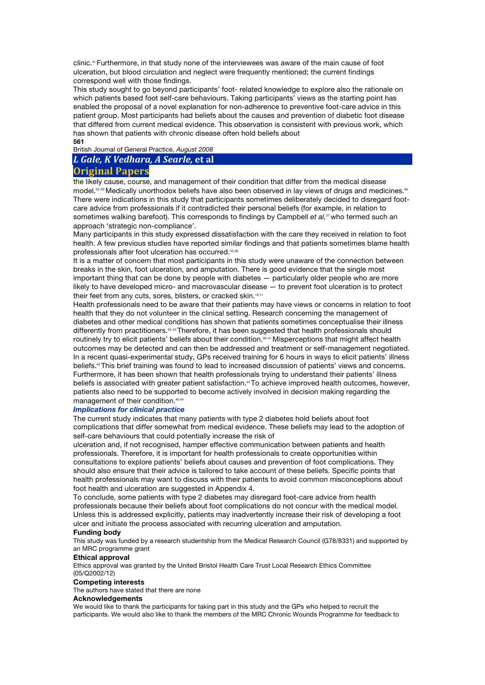clinic.31 Furthermore, in that study none of the interviewees was aware of the main cause of foot ulceration, but blood circulation and neglect were frequently mentioned; the current findings correspond well with those findings.

This study sought to go beyond participants' foot- related knowledge to explore also the rationale on which patients based foot self-care behaviours. Taking participants' views as the starting point has enabled the proposal of a novel explanation for non-adherence to preventive foot-care advice in this patient group. Most participants had beliefs about the causes and prevention of diabetic foot disease that differed from current medical evidence. This observation is consistent with previous work, which has shown that patients with chronic disease often hold beliefs about **561** 

British Journal of General Practice, *August 2008* 

# *L Gale, K Vedhara, A Searle,* **et al**

# **Original Papers**

the likely cause, course, and management of their condition that differ from the medical disease model.<sup>32-35</sup> Medically unorthodox beliefs have also been observed in lay views of drugs and medicines.<sup>36</sup> There were indications in this study that participants sometimes deliberately decided to disregard footcare advice from professionals if it contradicted their personal beliefs (for example, in relation to sometimes walking barefoot). This corresponds to findings by Campbell *et al*,<sup>37</sup> who termed such an approach 'strategic non-compliance'.

Many participants in this study expressed dissatisfaction with the care they received in relation to foot health. A few previous studies have reported similar findings and that patients sometimes blame health professionals after foot ulceration has occurred.<sup>35,38</sup>

It is a matter of concern that most participants in this study were unaware of the connection between breaks in the skin, foot ulceration, and amputation. There is good evidence that the single most important thing that can be done by people with diabetes — particularly older people who are more likely to have developed micro- and macrovascular disease — to prevent foot ulceration is to protect their feet from any cuts, sores, blisters, or cracked skin.<sup>10,11</sup>

Health professionals need to be aware that their patients may have views or concerns in relation to foot health that they do not volunteer in the clinical setting. Research concerning the management of diabetes and other medical conditions has shown that patients sometimes conceptualise their illness differently from practitioners.<sup>32-34</sup> Therefore, it has been suggested that health professionals should routinely try to elicit patients' beliefs about their condition.39–41 Misperceptions that might affect health outcomes may be detected and can then be addressed and treatment or self-management negotiated. In a recent quasi-experimental study, GPs received training for 6 hours in ways to elicit patients' illness beliefs.42 This brief training was found to lead to increased discussion of patients' views and concerns. Furthermore, it has been shown that health professionals trying to understand their patients' illness beliefs is associated with greater patient satisfaction.<sup>43</sup> To achieve improved health outcomes, however, patients also need to be supported to become actively involved in decision making regarding the management of their condition.<sup>40,44</sup>

## *Implications for clinical practice*

The current study indicates that many patients with type 2 diabetes hold beliefs about foot complications that differ somewhat from medical evidence. These beliefs may lead to the adoption of self-care behaviours that could potentially increase the risk of

ulceration and, if not recognised, hamper effective communication between patients and health professionals. Therefore, it is important for health professionals to create opportunities within consultations to explore patients' beliefs about causes and prevention of foot complications. They should also ensure that their advice is tailored to take account of these beliefs. Specific points that health professionals may want to discuss with their patients to avoid common misconceptions about foot health and ulceration are suggested in Appendix 4.

To conclude, some patients with type 2 diabetes may disregard foot-care advice from health professionals because their beliefs about foot complications do not concur with the medical model. Unless this is addressed explicitly, patients may inadvertently increase their risk of developing a foot ulcer and initiate the process associated with recurring ulceration and amputation.

#### **Funding body**

This study was funded by a research studentship from the Medical Research Council (G78/8331) and supported by an MRC programme grant

#### **Ethical approval**

Ethics approval was granted by the United Bristol Health Care Trust Local Research Ethics Committee (05/Q2002/12)

### **Competing interests**

The authors have stated that there are none

#### **Acknowledgements**

We would like to thank the participants for taking part in this study and the GPs who helped to recruit the participants. We would also like to thank the members of the MRC Chronic Wounds Programme for feedback to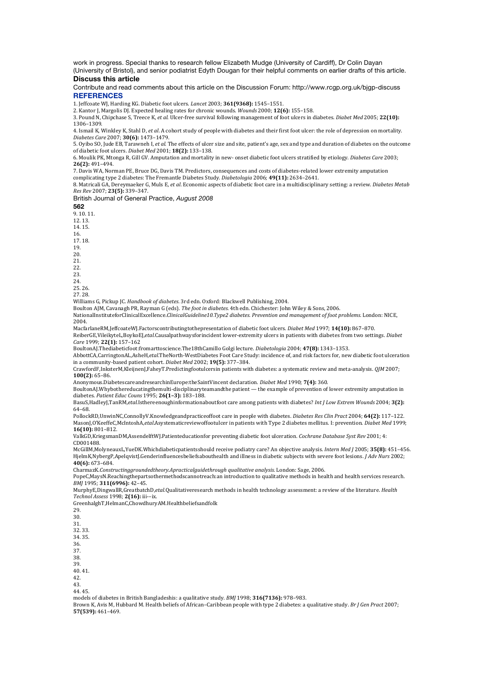work in progress. Special thanks to research fellow Elizabeth Mudge (University of Cardiff), Dr Colin Dayan (University of Bristol), and senior podiatrist Edyth Dougan for their helpful comments on earlier drafts of this article.

#### **Discuss this article**

Contribute and read comments about this article on the Discussion Forum: http://www.rcgp.org.uk/bjgp-discuss **REFERENCES** 

1. Jeffcoate WJ, Harding KG. Diabetic foot ulcers. *Lancet* 2003; **361(9368):** 1545–1551. 

2. Kantor J, Margolis DJ. Expected healing rates for chronic wounds. *Wounds* 2000; 12(6): 155-158.

3. Pound N, Chipchase S, Treece K, *et al.* Ulcer-free survival following management of foot ulcers in diabetes. *Diabet Med* 2005; **22(10):** 1306–1309. 

4. Ismail K, Winkley K, Stahl D, et al. A cohort study of people with diabetes and their first foot ulcer: the role of depression on mortality. *Diabetes Care 2007;* **30(6):** 1473–1479.

5. Oyibo SO, Jude EB, Tarawneh I, *et al.* The effects of ulcer size and site, patient's age, sex and type and duration of diabetes on the outcome of diabetic foot ulcers. *Diabet Med* 2001; **18(2):** 133-138.

6. Moulik PK, Mtonga R, Gill GV. Amputation and mortality in new- onset diabetic foot ulcers stratified by etiology. *Diabetes Care* 2003; **26(2):** 491–494. 

7. Davis WA, Norman PE, Bruce DG, Davis TM. Predictors, consequences and costs of diabetes-related lower extremity amputation complicating type 2 diabetes: The Fremantle Diabetes Study. *Diabetologia* 2006; **49(11):** 2634–2641.

8. Matricali GA, Dereymaeker G, Muls E, et al. Economic aspects of diabetic foot care in a multidisciplinary setting: a review. *Diabetes Metab Res Rev* 2007; **23(5):** 339–347. 

British Journal of General Practice, *August 2008* 

**562** 

- 9. 10. 11. 12. 13.
- 14. 15.
- 16.
- 17. 18.
- 19. 20.
- 21.
- 22.
- 23.

24. 

- 25. 26.
- 27. 28.

Williams G, Pickup JC. *Handbook of diabetes*. 3rd edn. Oxford: Blackwell Publishing, 2004.

Boulton AJM, Cavanagh PR, Rayman G (eds). *The foot in diabetes.* 4th edn. Chichester: John Wiley & Sons, 2006.

NationalInstituteforClinicalExcellence.*ClinicalGuideline10.Type2* diabetes. Prevention and management of foot problems. London: NICE, 2004. 

MacfarlaneRM,JeffcoateWJ.Factorscontributingtothepresentation of diabetic foot ulcers. *Diabet Med* 1997; 14(10): 867-870.

ReiberGE,VileikyteL,BoykoEJ,etal.Causalpathwaysforincident lower-extremity ulcers in patients with diabetes from two settings. *Diabet Care* 1999; **22(1):** 157–162 

BoultonAJ.Thediabeticfoot:fromarttoscience.The18thCamillo Golgi lecture. *Diabetologia* 2004; 47(8): 1343-1353.

AbbottCA,CarringtonAL,AsheH,etal.TheNorth-WestDiabetes Foot Care Study: incidence of, and risk factors for, new diabetic foot ulceration in a community-based patient cohort. *Diabet Med* 2002: **19(5):** 377–384 CrawfordF,InksterM,KleijnenJ,FaheyT.Predictingfootulcersin patients with diabetes: a systematic review and meta-analysis. *QJM* 2007;

**100(2):** 65–86. 

Anonymous.DiabetescareandresearchinEurope:theSaintVincent declaration. *Diabet Med* 1990; **7(4):** 360.

BoultonAJ.Whybothereducatingthemulti-disciplinaryteamandthe patient — the example of prevention of lower extremity amputation in diabetes. *Patient Educ Couns* 1995; **26(1–3):** 183–188. 

BasuS,HadleyJ,TanRM,etal.Isthereenoughinformationaboutfoot care among patients with diabetes? *Int J Low Extrem Wounds* 2004; **3(2):** 64–68. 

PollockRD,UnwinNC,ConnollyV.Knowledgeandpracticeoffoot care in people with diabetes. *Diabetes Res Clin Pract* 2004; **64(2):** 117-122. MasonJ,O'KeeffeC,McIntoshA,etal.Asystematicreviewoffootulcer in patients with Type 2 diabetes mellitus. I: prevention. *Diabet Med* 1999; **16(10):** 801–812. 

ValkGD,KriegsmanDM,AssendelftWJ.Patienteducationfor preventing diabetic foot ulceration. *Cochrane Database Syst Rev* 2001; 4: CD001488. 

McGillM,MolyneauxL,YueDK.Whichdiabeticpatientsshould receive podiatry care? An objective analysis. *Intern Med J* 2005; 35(8): 451-456. HjelmK,NybergP,ApelqvistJ.Genderinfluencesbeliefsabouthealth and illness in diabetic subjects with severe foot lesions. *J Adv Nurs* 2002; **40(6):** 673–684. 

CharmazK.*Constructinggroundedtheory.Apracticalguidethrough qualitative analysis.* London: Sage, 2006. PopeC,MaysN.Reachingthepartsothermethodscannotreach:an introduction to qualitative methods in health and health services research. *BMJ* 1995; **311(6996):** 42–45. 

MurphyE,DingwallR,GreatbatchD,etal.Qualitativeresearch methods in health technology assessment: a review of the literature. *Health Technol Assess* 1998; **2(16):** iii-–ix. 

GreenhalghT,HelmanC,ChowdhuryAM.Healthbeliefsandfolk 

29. 30. 31. 32. 33. 34. 35. 36. 37. 38. 

39. 

40. 41. 

42. 

43. 

44. 45. 

models of diabetes in British Bangladeshis: a qualitative study. *BMJ* 1998; 316(7136): 978-983.

Brown K, Avis M, Hubbard M. Health beliefs of African-Caribbean people with type 2 diabetes: a qualitative study. Br J Gen Pract 2007; **57(539):** 461–469.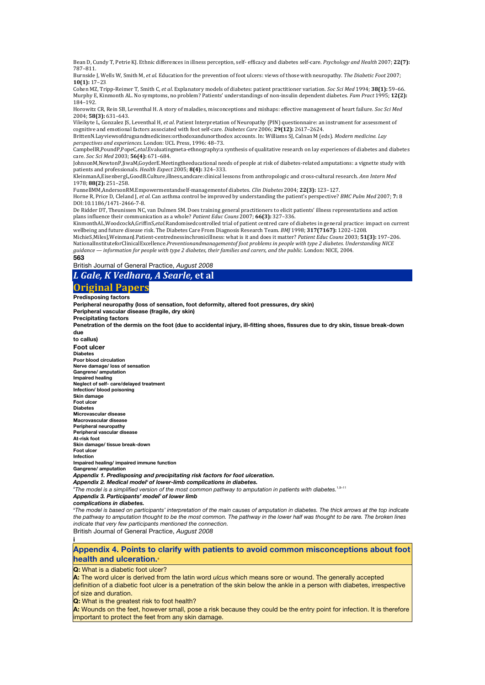Bean D, Cundy T, Petrie KJ. Ethnic differences in illness perception, self- efficacy and diabetes self-care. *Psychology and Health* 2007; 22(7): 787–811. 

Burnside J, Wells W, Smith M, et al. Education for the prevention of foot ulcers: views of those with neuropathy. The Diabetic Foot 2007; **10(1):** 17–23. 

Cohen MZ, Tripp-Reimer T, Smith C, *et al.* Explanatory models of diabetes: patient practitioner variation. *Soc Sci Med* 1994; **38(1):** 59–66. Murphy E, Kinmonth AL. No symptoms, no problem? Patients' understandings of non-insulin dependent diabetes. *Fam Pract* 1995; 12(2): 184–192. 

Horowitz CR, Rein SB, Leventhal H. A story of maladies, misconceptions and mishaps: effective management of heart failure. Soc Sci Med 2004; **58(3)**: 631-643.

Vileikyte L, Gonzalez JS, Leventhal H, *et al.* Patient Interpretation of Neuropathy (PIN) questionnaire: an instrument for assessment of cognitive and emotional factors associated with foot self-care. *Diabetes Care* 2006; 29(12): 2617-2624.

BrittenN.Layviewsofdrugsandmedicines:orthodoxandunorthodox accounts. In: Williams SJ, Calnan M (eds). *Modern medicine. Lay* perspectives and experiences. London: UCL Press, 1996: 48-73.

CampbellR,PoundP,PopeC,etal.Evaluatingmeta-ethnography:a synthesis of qualitative research on lay experiences of diabetes and diabetes care. *Soc Sci Med* 2003; **56(4):** 671–684. 

JohnsonM,NewtonP,JiwaM,GoyderE,Meetingtheeducational needs of people at risk of diabetes-related amputations: a vignette study with patients and professionals. *Health Expect* 2005; **8(4):** 324–333.

KleinmanA,EisenbergL,GoodB.Culture,illness,andcare:clinical lessons from anthropologic and cross-cultural research. Ann Intern Med 1978; **88(2):** 251–258. 

FunnellMM,AndersonRM.Empowermentandself-managementof diabetes. *Clin Diabetes* 2004; **22(3):** 123-127.

Horne R, Price D, Cleland J, *et al.* Can asthma control be improved by understanding the patient's perspective? *BMC Pulm Med* 2007; 7: 8 DOI:10.1186/1471-2466-7-8. 

De Ridder DT, Theunissen NC, van Dulmen SM. Does training general practitioners to elicit patients' illness representations and action plans influence their communication as a whole? *Patient Educ Couns* 2007; 66(3): 327-336.

KinmonthAL,WoodcockA,GriffinS,etal.Randomisedcontrolled trial of patient centred care of diabetes in general practice: impact on current wellbeing and future disease risk. The Diabetes Care From Diagnosis Research Team. *BMJ* 1998; 317(7167): 1202-1208.

MichieS,MilesJ,WeinmanJ.Patient-centrednessinchronicillness: what is it and does it matter? Patient Educ Couns 2003; 51(3): 197-206. NationalInstituteforClinicalExcellence.Preventionandmanagementof foot problems in people with type 2 diabetes. Understanding NICE guidance — information for people with type 2 diabetes, their families and carers, and the public. London: NICE, 2004. **563** 

British Journal of General Practice, *August 2008* 

# *L Gale, K Vedhara, A Searle,* **et al**

# **Original Papers**

#### **Predisposing factors**

**Peripheral neuropathy (loss of sensation, foot deformity, altered foot pressures, dry skin)** 

**Peripheral vascular disease (fragile, dry skin)** 

**Precipitating factors** 

**Penetration of the dermis on the foot (due to accidental injury, ill-fitting shoes, fissures due to dry skin, tissue break-down due** 

**to callus) Foot ulcer Diabetes Poor blood circulation Nerve damage/ loss of sensation Gangrene/ amputation Impaired healing Neglect of self- care/delayed treatment Infection/ blood poisoning Skin damage Foot ulcer Diabetes Microvascular disease Macrovascular disease Peripheral neuropathy Peripheral vascular disease At-risk foot Skin damage/ tissue break-down Foot ulcer Infection Impaired healing/ impaired immune function Gangrene/ amputation**  *Appendix 1. Predisposing and precipitating risk factors for foot ulceration. Appendix 2. Medical model*a *of lower-limb complications in diabetes.* a *The model is a simplified version of the most common pathway to amputation in patients with diabetes.*1,9–11

*Appendix 3. Participants' model*<sup>a</sup>*of lower limb* 

*complications in diabetes.* 

**i** 

<sup>a</sup>The model is based on participants' interpretation of the main causes of amputation in diabetes. The thick arrows at the top indicate *the pathway to amputation thought to be the most common. The pathway in the lower half was thought to be rare. The broken lines indicate that very few participants mentioned the connection.* 

British Journal of General Practice, *August 2008* 

**Appendix 4. Points to clarify with patients to avoid common misconceptions about foot health and ulceration.**<sup>8</sup>

**Q:** What is a diabetic foot ulcer?

**A:** The word ulcer is derived from the latin word *ulcus* which means sore or wound. The generally accepted definition of a diabetic foot ulcer is a penetration of the skin below the ankle in a person with diabetes, irrespective of size and duration.

**Q:** What is the greatest risk to foot health?

**A:** Wounds on the feet, however small, pose a risk because they could be the entry point for infection. It is therefore important to protect the feet from any skin damage.